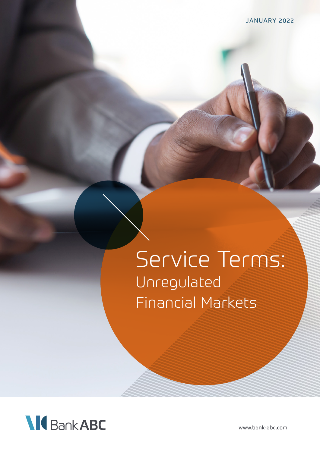# Service Terms: Unregulated Financial Markets



www.bank-abc.com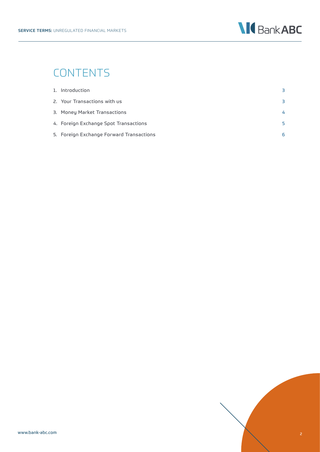

## CONTENTS

| 1. Introduction                          | R  |
|------------------------------------------|----|
| 2. Your Transactions with us             | 3  |
| 3. Money Market Transactions             | 4  |
| 4. Foreign Exchange Spot Transactions    | 5. |
| 5. Foreign Exchange Forward Transactions | 6. |

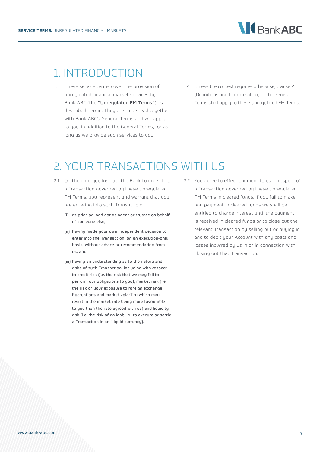

#### 1. INTRODUCTION

- 1.1 These service terms cover the provision of unregulated financial market services by Bank ABC (the "Unregulated FM Terms") as described herein. They are to be read together with Bank ABC's General Terms and will apply to you, in addition to the General Terms, for as long as we provide such services to you.
- 1.2 Unless the context requires otherwise, Clause 2 (Definitions and Interpretation) of the General Terms shall apply to these Unregulated FM Terms.

#### 2. YOUR TRANSACTIONS WITH US

- 2.1 On the date you instruct the Bank to enter into a Transaction governed by these Unregulated FM Terms, you represent and warrant that you are entering into such Transaction:
	- (i) as principal and not as agent or trustee on behalf of someone else;
	- (ii) having made your own independent decision to enter into the Transaction, on an execution-only basis, without advice or recommendation from us; and
	- (iii) having an understanding as to the nature and risks of such Transaction, including with respect to credit risk (i.e. the risk that we may fail to perform our obligations to you), market risk (i.e. the risk of your exposure to foreign exchange fluctuations and market volatility which may result in the market rate being more favourable to you than the rate agreed with us) and liquidity risk (i.e. the risk of an inability to execute or settle a Transaction in an illiquid currency).
- 2.2 You agree to effect payment to us in respect of a Transaction governed by these Unregulated FM Terms in cleared funds. If you fail to make any payment in cleared funds we shall be entitled to charge interest until the payment is received in cleared funds or to close out the relevant Transaction by selling out or buying in and to debit your Account with any costs and losses incurred by us in or in connection with closing out that Transaction.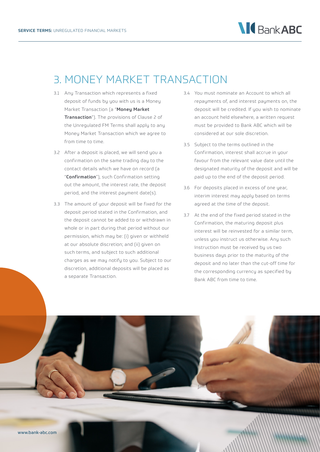

## 3. MONEY MARKET TRANSACTION

- 3.1 Any Transaction which represents a fixed deposit of funds by you with us is a Money Market Transaction (a "Money Market Transaction"). The provisions of Clause 2 of the Unregulated FM Terms shall apply to any Money Market Transaction which we agree to from time to time.
- 3.2 After a deposit is placed, we will send you a confirmation on the same trading day to the contact details which we have on record (a "Confirmation"), such Confirmation setting out the amount, the interest rate, the deposit period, and the interest payment date(s).
- 3.3 The amount of your deposit will be fixed for the deposit period stated in the Confirmation, and the deposit cannot be added to or withdrawn in whole or in part during that period without our permission, which may be: (i) given or withheld at our absolute discretion; and (ii) given on such terms, and subject to such additional charges as we may notify to you. Subject to our discretion, additional deposits will be placed as a separate Transaction.
- 3.4 You must nominate an Account to which all repayments of, and interest payments on, the deposit will be credited. If you wish to nominate an account held elsewhere, a written request must be provided to Bank ABC which will be considered at our sole discretion.
- 3.5 Subject to the terms outlined in the Confirmation, interest shall accrue in your favour from the relevant value date until the designated maturity of the deposit and will be paid up to the end of the deposit period.
- 3.6 For deposits placed in excess of one year, interim interest may apply based on terms agreed at the time of the deposit.
- 3.7 At the end of the fixed period stated in the Confirmation, the maturing deposit plus interest will be reinvested for a similar term, unless you instruct us otherwise. Any such Instruction must be received by us two business days prior to the maturity of the deposit and no later than the cut-off time for the corresponding currency as specified by Bank ABC from time to time.

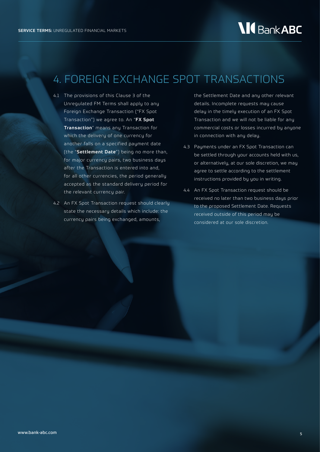## 4. FOREIGN EXCHANGE SPOT TRANSACTIONS

- 4.1 The provisions of this Clause 3 of the Unregulated FM Terms shall apply to any Foreign Exchange Transaction ("FX Spot Transaction") we agree to. An "FX Spot Transaction" means any Transaction for which the delivery of one currency for another falls on a specified payment date (the "Settlement Date") being no more than, for major currency pairs, two business days after the Transaction is entered into and, for all other currencies, the period generally accepted as the standard delivery period for the relevant currency pair.
- 4.2 An FX Spot Transaction request should clearly state the necessary details which include: the currency pairs being exchanged, amounts,

the Settlement Date and any other relevant details. Incomplete requests may cause delay in the timely execution of an FX Spot Transaction and we will not be liable for any commercial costs or losses incurred by anyone in connection with any delay.

- 4.3 Payments under an FX Spot Transaction can be settled through your accounts held with us, or alternatively, at our sole discretion, we may agree to settle according to the settlement instructions provided by you in writing.
- 4.4 An FX Spot Transaction request should be received no later than two business days prior to the proposed Settlement Date. Requests received outside of this period may be considered at our sole discretion.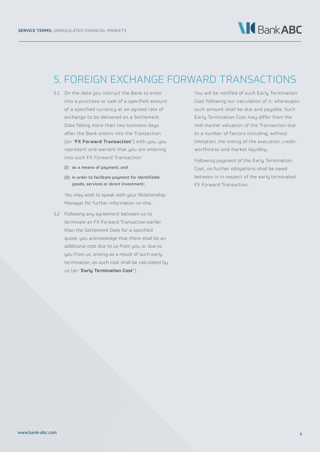### 5. FOREIGN EXCHANGE FORWARD TRANSACTIONS

- 5.1 On the date you instruct the Bank to enter into a purchase or sale of a specified amount of a specified currency at an agreed rate of exchange to be delivered on a Settlement Date falling more than two business days after the Bank enters into the Transaction (an "FX Forward Transaction") with you, you represent and warrant that you are entering into such FX Forward Transaction:
	- (i) as a means of payment; and
	- (ii) in order to facilitate payment for identifiable goods, services or direct investment;

You may wish to speak with your Relationship Manager for further information on this.

5.2 Following any agreement between us to terminate an FX Forward Transaction earlier than the Settlement Date for a specified quote, you acknowledge that there shall be an additional cost due to us from you, or due to you from us, arising as a result of such early termination, as such cost shall be calculated by us (an "Early Termination Cost").

You will be notified of such Early Termination Cost following our calculation of it, whereupon such amount shall be due and payable. Such Early Termination Cost may differ from the mid-market valuation of the Transaction due to a number of factors including, without limitation, the timing of the execution, creditworthiness and market liquidity.

Following payment of the Early Termination Cost, no further obligations shall be owed between in in respect of the early terminated FX Forward Transaction.